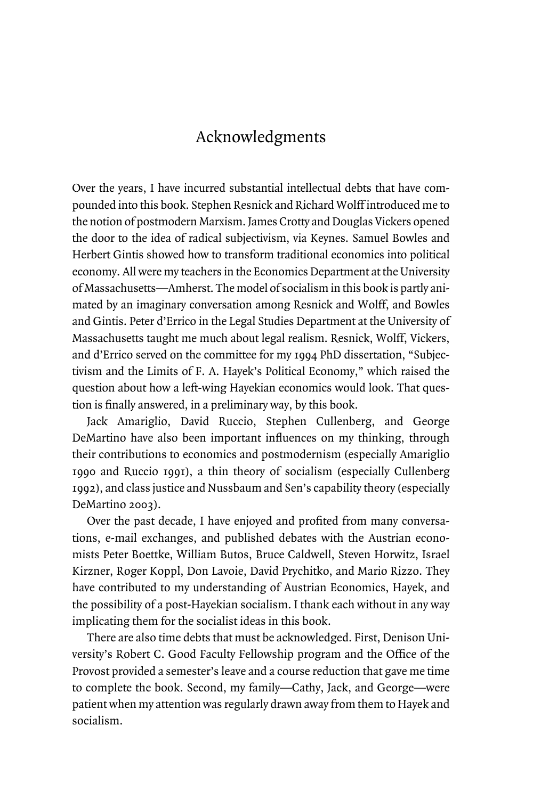## Acknowledgments

Over the years, I have incurred substantial intellectual debts that have compounded into this book. Stephen Resnick and Richard Wolff introduced me to the notion of postmodern Marxism. James Crotty and Douglas Vickers opened the door to the idea of radical subjectivism, via Keynes. Samuel Bowles and Herbert Gintis showed how to transform traditional economics into political economy. All were my teachers in the Economics Department at the University of Massachusetts—Amherst. The model of socialism in this book is partly animated by an imaginary conversation among Resnick and Wolff, and Bowles and Gintis. Peter d'Errico in the Legal Studies Department at the University of Massachusetts taught me much about legal realism. Resnick, Wolff, Vickers, and d'Errico served on the committee for my 1994 PhD dissertation, "Subjectivism and the Limits of F. A. Hayek's Political Economy," which raised the question about how a left-wing Hayekian economics would look. That question is finally answered, in a preliminary way, by this book.

Jack Amariglio, David Ruccio, Stephen Cullenberg, and George DeMartino have also been important influences on my thinking, through their contributions to economics and postmodernism (especially Amariglio 1990 and Ruccio 1991), a thin theory of socialism (especially Cullenberg 1992), and class justice and Nussbaum and Sen's capability theory (especially DeMartino 2003).

Over the past decade, I have enjoyed and profited from many conversations, e-mail exchanges, and published debates with the Austrian economists Peter Boettke, William Butos, Bruce Caldwell, Steven Horwitz, Israel Kirzner, Roger Koppl, Don Lavoie, David Prychitko, and Mario Rizzo. They have contributed to my understanding of Austrian Economics, Hayek, and the possibility of a post-Hayekian socialism. I thank each without in any way implicating them for the socialist ideas in this book.

There are also time debts that must be acknowledged. First, Denison University's Robert C. Good Faculty Fellowship program and the Office of the Provost provided a semester's leave and a course reduction that gave me time to complete the book. Second, my family—Cathy, Jack, and George—were patient when my attention was regularly drawn away from them to Hayek and socialism.